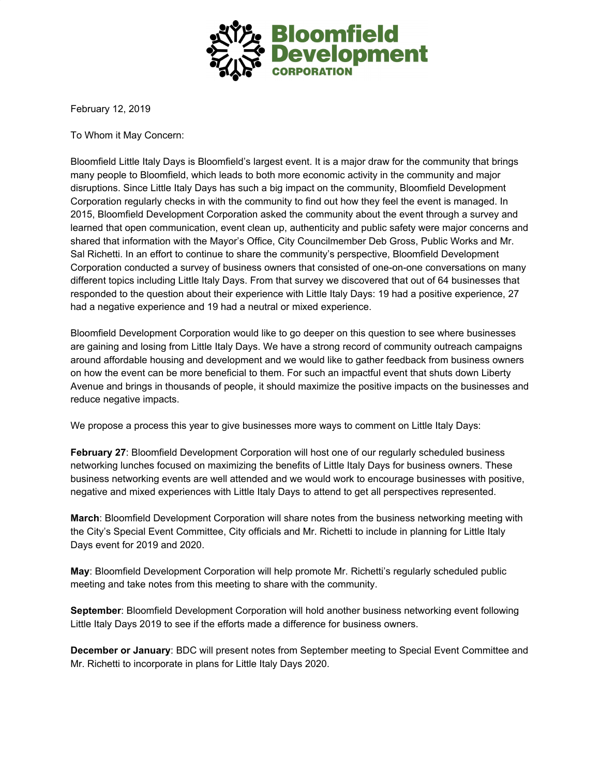

February 12, 2019

To Whom it May Concern:

Bloomfield Little Italy Days is Bloomfield's largest event. It is a major draw for the community that brings many people to Bloomfield, which leads to both more economic activity in the community and major disruptions. Since Little Italy Days has such a big impact on the community, Bloomfield Development Corporation regularly checks in with the community to find out how they feel the event is managed. In 2015, Bloomfield Development Corporation asked the community about the event through a survey and learned that open communication, event clean up, authenticity and public safety were major concerns and shared that information with the Mayor's Office, City Councilmember Deb Gross, Public Works and Mr. Sal Richetti. In an effort to continue to share the community's perspective, Bloomfield Development Corporation conducted a survey of business owners that consisted of one-on-one conversations on many different topics including Little Italy Days. From that survey we discovered that out of 64 businesses that responded to the question about their experience with Little Italy Days: 19 had a positive experience, 27 had a negative experience and 19 had a neutral or mixed experience.

Bloomfield Development Corporation would like to go deeper on this question to see where businesses are gaining and losing from Little Italy Days. We have a strong record of community outreach campaigns around affordable housing and development and we would like to gather feedback from business owners on how the event can be more beneficial to them. For such an impactful event that shuts down Liberty Avenue and brings in thousands of people, it should maximize the positive impacts on the businesses and reduce negative impacts.

We propose a process this year to give businesses more ways to comment on Little Italy Days:

**February 27**: Bloomfield Development Corporation will host one of our regularly scheduled business networking lunches focused on maximizing the benefits of Little Italy Days for business owners. These business networking events are well attended and we would work to encourage businesses with positive, negative and mixed experiences with Little Italy Days to attend to get all perspectives represented.

**March**: Bloomfield Development Corporation will share notes from the business networking meeting with the City's Special Event Committee, City officials and Mr. Richetti to include in planning for Little Italy Days event for 2019 and 2020.

**May**: Bloomfield Development Corporation will help promote Mr. Richetti's regularly scheduled public meeting and take notes from this meeting to share with the community.

**September**: Bloomfield Development Corporation will hold another business networking event following Little Italy Days 2019 to see if the efforts made a difference for business owners.

**December or January**: BDC will present notes from September meeting to Special Event Committee and Mr. Richetti to incorporate in plans for Little Italy Days 2020.